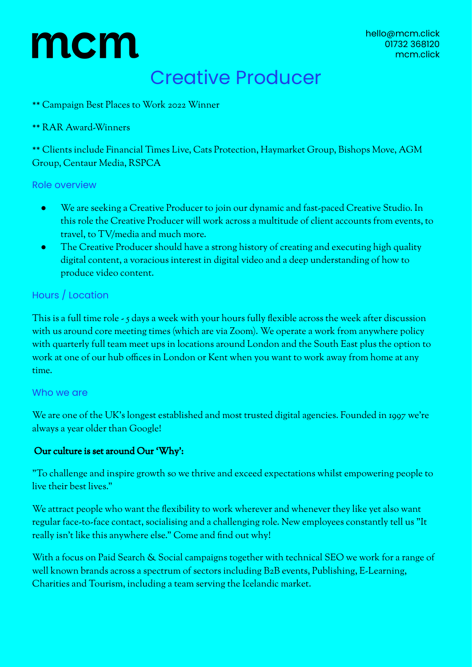# mcm

### Creative Producer

\*\* Campaign Best Places to Work 2022 Winner

### \*\* RAR Award-Winners

\*\* Clients include Financial Times Live, Cats Protection, Haymarket Group, Bishops Move, AGM Group, Centaur Media, RSPCA

#### Role overview

- We are seeking a Creative Producer to join our dynamic and fast-paced Creative Studio. In this role the Creative Producer will work across a multitude of client accounts from events, to travel, to TV/media and much more.
- The Creative Producer should have a strong history of creating and executing high quality digital content, a voracious interest in digital video and a deep understanding of how to produce video content.

### Hours / Location

This is a full time role - 5 days a week with your hours fully flexible across the week after discussion with us around core meeting times (which are via Zoom). We operate a work from anywhere policy with quarterly full team meet ups in locations around London and the South East plus the option to work at one of our hub offices in London or Kent when you want to work away from home at any time.

### Who we are

We are one of the UK's longest established and most trusted digital agencies. Founded in 1997 we're always a year older than Google!

### Our culture is set around Our 'Why':

"To challenge and inspire growth so we thrive and exceed expectations whilst empowering people to live their best lives."

We attract people who want the flexibility to work wherever and whenever they like yet also want regular face-to-face contact, socialising and a challenging role. New employees constantly tell us "It really isn't like this anywhere else." Come and find out why!

With a focus on Paid Search & Social campaigns together with technical SEO we work for a range of well known brands across a spectrum of sectors including B2B events, Publishing, E-Learning, Charities and Tourism, including a team serving the Icelandic market.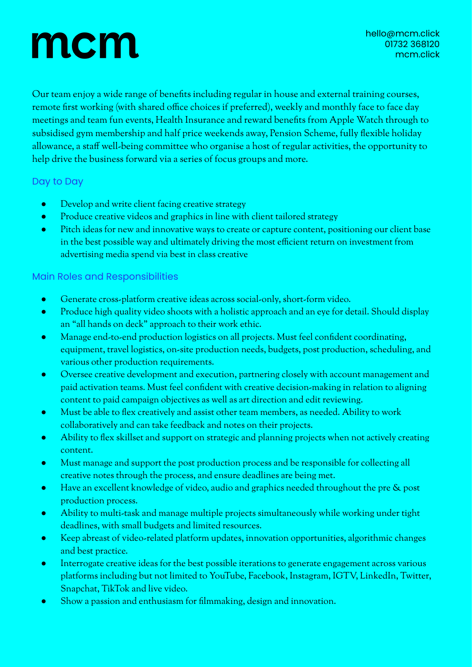## mcm

Our team enjoy a wide range of benefits including regular in house and external training courses, remote first working (with shared office choices if preferred), weekly and monthly face to face day meetings and team fun events, Health Insurance and reward benefits from Apple Watch through to subsidised gym membership and half price weekends away, Pension Scheme, fully flexible holiday allowance, a staff well-being committee who organise a host of regular activities, the opportunity to help drive the business forward via a series of focus groups and more.

### Day to Day

- Develop and write client facing creative strategy
- Produce creative videos and graphics in line with client tailored strategy
- Pitch ideas for new and innovative ways to create or capture content, positioning our client base in the best possible way and ultimately driving the most efficient return on investment from advertising media spend via best in class creative

### Main Roles and Responsibilities

- Generate cross-platform creative ideas across social-only, short-form video.
- Produce high quality video shoots with a holistic approach and an eye for detail. Should display an "all hands on deck" approach to their work ethic.
- Manage end-to-end production logistics on all projects. Must feel confident coordinating, equipment, travel logistics, on-site production needs, budgets, post production, scheduling, and various other production requirements.
- Oversee creative development and execution, partnering closely with account management and paid activation teams. Must feel confident with creative decision-making in relation to aligning content to paid campaign objectives as well as art direction and edit reviewing.
- Must be able to flex creatively and assist other team members, as needed. Ability to work collaboratively and can take feedback and notes on their projects.
- Ability to flex skillset and support on strategic and planning projects when not actively creating content.
- Must manage and support the post production process and be responsible for collecting all creative notes through the process, and ensure deadlines are being met.
- Have an excellent knowledge of video, audio and graphics needed throughout the pre & post production process.
- Ability to multi-task and manage multiple projects simultaneously while working under tight deadlines, with small budgets and limited resources.
- Keep abreast of video-related platform updates, innovation opportunities, algorithmic changes and best practice.
- Interrogate creative ideas for the best possible iterations to generate engagement across various platforms including but not limited to YouTube, Facebook, Instagram, IGTV, LinkedIn, Twitter, Snapchat, TikTok and live video.
- Show a passion and enthusiasm for filmmaking, design and innovation.